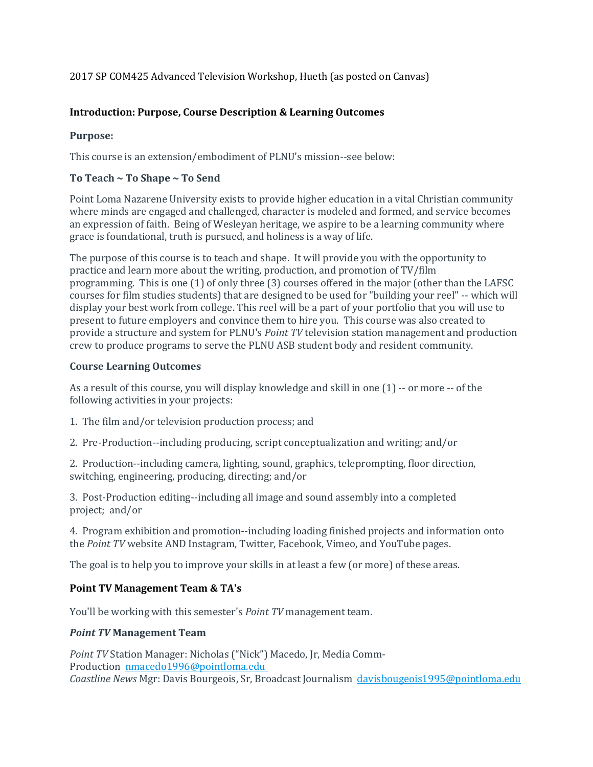# 2017 SP COM425 Advanced Television Workshop, Hueth (as posted on Canvas)

# **Introduction: Purpose, Course Description & Learning Outcomes**

# **Purpose:**

This course is an extension/embodiment of PLNU's mission--see below:

# **To Teach ~ To Shape ~ To Send**

Point Loma Nazarene University exists to provide higher education in a vital Christian community where minds are engaged and challenged, character is modeled and formed, and service becomes an expression of faith. Being of Wesleyan heritage, we aspire to be a learning community where grace is foundational, truth is pursued, and holiness is a way of life.

The purpose of this course is to teach and shape. It will provide you with the opportunity to practice and learn more about the writing, production, and promotion of TV/film programming. This is one (1) of only three (3) courses offered in the major (other than the LAFSC courses for film studies students) that are designed to be used for "building your reel" -- which will display your best work from college. This reel will be a part of your portfolio that you will use to present to future employers and convince them to hire you. This course was also created to provide a structure and system for PLNU's *Point TV* television station management and production crew to produce programs to serve the PLNU ASB student body and resident community.

## **Course Learning Outcomes**

As a result of this course, you will display knowledge and skill in one (1) -- or more -- of the following activities in your projects:

- 1. The film and/or television production process; and
- 2. Pre-Production--including producing, script conceptualization and writing; and/or

2. Production--including camera, lighting, sound, graphics, teleprompting, floor direction, switching, engineering, producing, directing; and/or

3. Post-Production editing--including all image and sound assembly into a completed project; and/or

4. Program exhibition and promotion--including loading finished projects and information onto the *Point TV* website AND Instagram, Twitter, Facebook, Vimeo, and YouTube pages.

The goal is to help you to improve your skills in at least a few (or more) of these areas.

# **Point TV Management Team & TA's**

You'll be working with this semester's *Point TV* management team.

### *Point TV* **Management Team**

*Point TV* Station Manager: Nicholas ("Nick") Macedo, Jr, Media Comm-Production [nmacedo1996@pointloma.edu](mailto:nmacedo1996@pointloma.edu) *Coastline News* Mgr: Davis Bourgeois, Sr, Broadcast Journalism [davisbougeois1995@pointloma.edu](https://mail.google.com/mail/?view=cm&fs=1&tf=1&to=davisbougeois1995@pointloma.edu)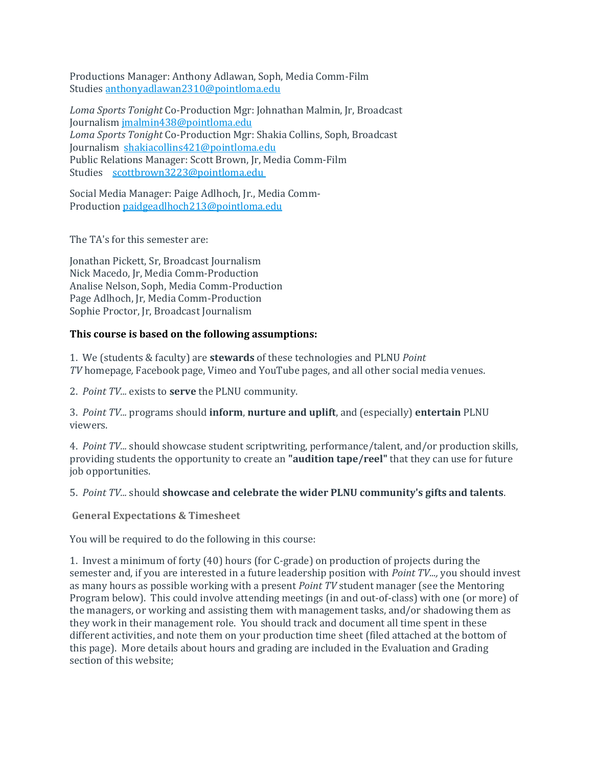Productions Manager: Anthony Adlawan, Soph, Media Comm-Film Studies [anthonyadlawan2310@pointloma.edu](mailto:anthonyadlawan2310@pointloma.edu)

*Loma Sports Tonight* Co-Production Mgr: Johnathan Malmin, Jr, Broadcast Journalism [jmalmin438@pointloma.edu](https://mail.google.com/mail/?view=cm&fs=1&tf=1&to=jmalmin438@pointloma.edu) *Loma Sports Tonight* Co-Production Mgr: Shakia Collins, Soph, Broadcast Journalism [shakiacollins421@pointloma.edu](https://mail.google.com/mail/?view=cm&fs=1&tf=1&to=shakiacollins421@pointloma.edu) Public Relations Manager: Scott Brown, Jr, Media Comm-Film Studies [scottbrown3223@pointloma.edu](https://mail.google.com/mail/?view=cm&fs=1&tf=1&to=scottbrown3223@pointloma.edu)

Social Media Manager: Paige Adlhoch, Jr., Media Comm-Production [paidgeadlhoch213@pointloma.edu](mailto:paidgeadlhoch213@pointloma.edu)

The TA's for this semester are:

Jonathan Pickett, Sr, Broadcast Journalism Nick Macedo, Jr, Media Comm-Production Analise Nelson, Soph, Media Comm-Production Page Adlhoch, Jr, Media Comm-Production Sophie Proctor, Jr, Broadcast Journalism

## **This course is based on the following assumptions:**

1. We (students & faculty) are **stewards** of these technologies and PLNU *Point TV* homepage*,* Facebook page, Vimeo and YouTube pages, and all other social media venues.

2. *Point TV...* exists to **serve** the PLNU community.

3. *Point TV...* programs should **inform**, **nurture and uplift**, and (especially) **entertain** PLNU viewers.

4. *Point TV...* should showcase student scriptwriting, performance/talent, and/or production skills, providing students the opportunity to create an **"audition tape/reel"** that they can use for future job opportunities.

### 5. *Point TV...* should **showcase and celebrate the wider PLNU community's gifts and talents**.

**General Expectations & Timesheet**

You will be required to do the following in this course:

1. Invest a minimum of forty (40) hours (for C-grade) on production of projects during the semester and, if you are interested in a future leadership position with *Point TV...,* you should invest as many hours as possible working with a present *Point TV* student manager (see the Mentoring Program below). This could involve attending meetings (in and out-of-class) with one (or more) of the managers, or working and assisting them with management tasks, and/or shadowing them as they work in their management role. You should track and document all time spent in these different activities, and note them on your production time sheet (filed attached at the bottom of this page). More details about hours and grading are included in the Evaluation and Grading section of this website;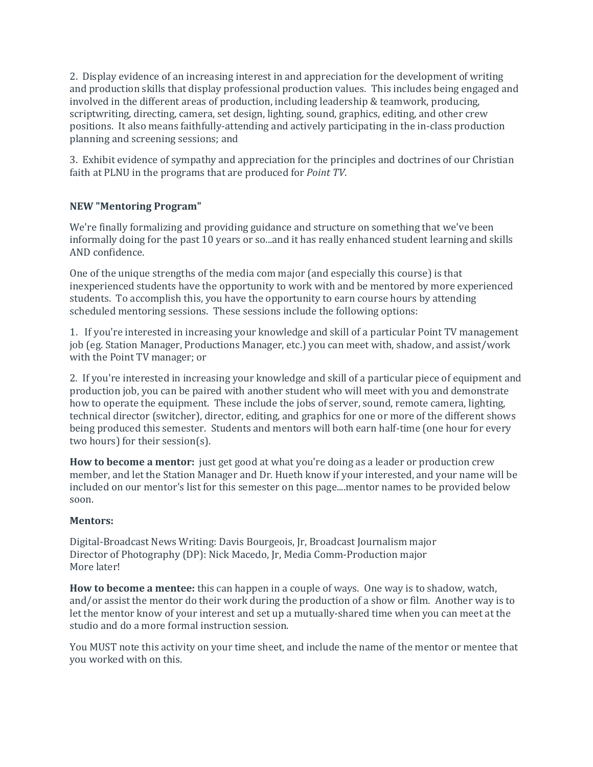2. Display evidence of an increasing interest in and appreciation for the development of writing and production skills that display professional production values. This includes being engaged and involved in the different areas of production, including leadership & teamwork, producing, scriptwriting, directing, camera, set design, lighting, sound, graphics, editing, and other crew positions. It also means faithfully-attending and actively participating in the in-class production planning and screening sessions; and

3. Exhibit evidence of sympathy and appreciation for the principles and doctrines of our Christian faith at PLNU in the programs that are produced for *Point TV*.

# **NEW "Mentoring Program"**

We're finally formalizing and providing guidance and structure on something that we've been informally doing for the past 10 years or so...and it has really enhanced student learning and skills AND confidence.

One of the unique strengths of the media com major (and especially this course) is that inexperienced students have the opportunity to work with and be mentored by more experienced students. To accomplish this, you have the opportunity to earn course hours by attending scheduled mentoring sessions. These sessions include the following options:

1. If you're interested in increasing your knowledge and skill of a particular Point TV management job (eg. Station Manager, Productions Manager, etc.) you can meet with, shadow, and assist/work with the Point TV manager; or

2. If you're interested in increasing your knowledge and skill of a particular piece of equipment and production job, you can be paired with another student who will meet with you and demonstrate how to operate the equipment. These include the jobs of server, sound, remote camera, lighting, technical director (switcher), director, editing, and graphics for one or more of the different shows being produced this semester. Students and mentors will both earn half-time (one hour for every two hours) for their session(s).

**How to become a mentor:** just get good at what you're doing as a leader or production crew member, and let the Station Manager and Dr. Hueth know if your interested, and your name will be included on our mentor's list for this semester on this page....mentor names to be provided below soon.

### **Mentors:**

Digital-Broadcast News Writing: Davis Bourgeois, Jr, Broadcast Journalism major Director of Photography (DP): Nick Macedo, Jr, Media Comm-Production major More later!

**How to become a mentee:** this can happen in a couple of ways. One way is to shadow, watch, and/or assist the mentor do their work during the production of a show or film. Another way is to let the mentor know of your interest and set up a mutually-shared time when you can meet at the studio and do a more formal instruction session.

You MUST note this activity on your time sheet, and include the name of the mentor or mentee that you worked with on this.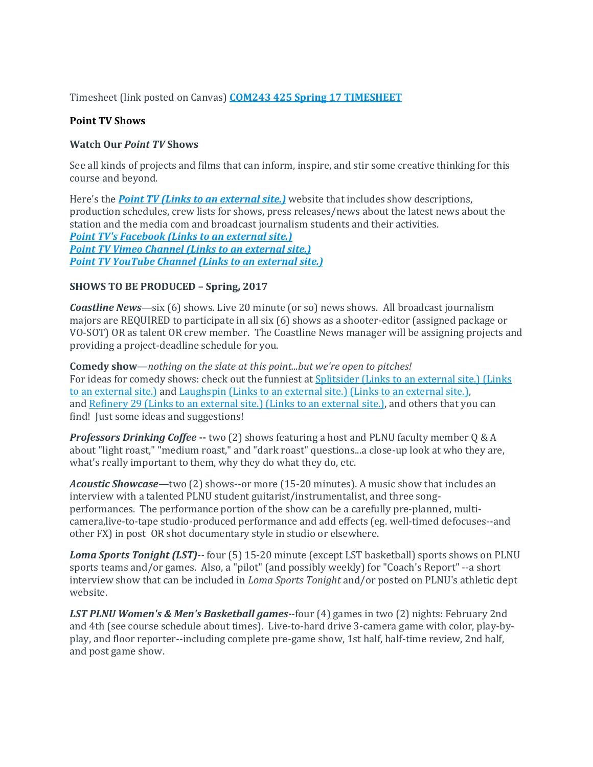Timesheet (link posted on Canvas) **[COM243 425 Spring](https://canvas.pointloma.edu/courses/31935/files/1118764/download) 17 TIMESHEET**

## **Point TV Shows**

## **Watch Our** *Point TV* **Shows**

See all kinds of projects and films that can inform, inspire, and stir some creative thinking for this course and beyond.

Here's the *[Point TV](http://pointtv23.com/com425and243/) (Links to an external site.)* website that includes show descriptions, production schedules, crew lists for shows, press releases/news about the latest news about the station and the media com and broadcast journalism students and their activities. *[Point TV's Facebook](https://www.facebook.com/pages/Point-TV/447038881997027?ref=hl) (Links to an external site.) Point TV [Vimeo Channel](http://vimeo.com/channels/pointtv/52421676) (Links to an external site.) [Point TV YouTube Channel](https://www.youtube.com/channel/UCbSHEdR_GA73Wpay3g4OuBQ) (Links to an external site.)*

### **SHOWS TO BE PRODUCED – Spring, 2017**

*Coastline News*—six (6) shows. Live 20 minute (or so) news shows. All broadcast journalism majors are REQUIRED to participate in all six (6) shows as a shooter-editor (assigned package or VO-SOT) OR as talent OR crew member. The Coastline News manager will be assigning projects and providing a project-deadline schedule for you.

**Comedy show**—*nothing on the slate at this point...but we're open to pitches!* For ideas for comedy shows: check out the funniest at Splitsider [\(Links to an external site.\)](http://splitsider.com/2013/07/the-11-best-video-sketch-groups-on-the-internet/) (Links to an [external](http://splitsider.com/2013/07/the-11-best-video-sketch-groups-on-the-internet/) site.) and Laughspin [\(Links to an external site.\)](http://www.laughspin.com/2011/07/26/eleven-web-shows-that-should-be-television-shows/) (Links to an external site.), and Refinery 29 [\(Links to an external site.\)](http://www.refinery29.com/2014/04/66133/best-internet-series) (Links to an external site.), and others that you can find! Just some ideas and suggestions!

*Professors Drinking Coffee* **--** two (2) shows featuring a host and PLNU faculty member Q & A about "light roast," "medium roast," and "dark roast" questions...a close-up look at who they are, what's really important to them, why they do what they do, etc.

*Acoustic Showcase*—two (2) shows--or more (15-20 minutes). A music show that includes an interview with a talented PLNU student guitarist/instrumentalist, and three songperformances. The performance portion of the show can be a carefully pre-planned, multicamera,live-to-tape studio-produced performance and add effects (eg. well-timed defocuses--and other FX) in post OR shot documentary style in studio or elsewhere.

*Loma Sports Tonight (LST)--* four (5) 15-20 minute (except LST basketball) sports shows on PLNU sports teams and/or games. Also, a "pilot" (and possibly weekly) for "Coach's Report" --a short interview show that can be included in *Loma Sports Tonight* and/or posted on PLNU's athletic dept website.

*LST PLNU Women's & Men's Basketball games-*-four (4) games in two (2) nights: February 2nd and 4th (see course schedule about times). Live-to-hard drive 3-camera game with color, play-byplay, and floor reporter--including complete pre-game show, 1st half, half-time review, 2nd half, and post game show.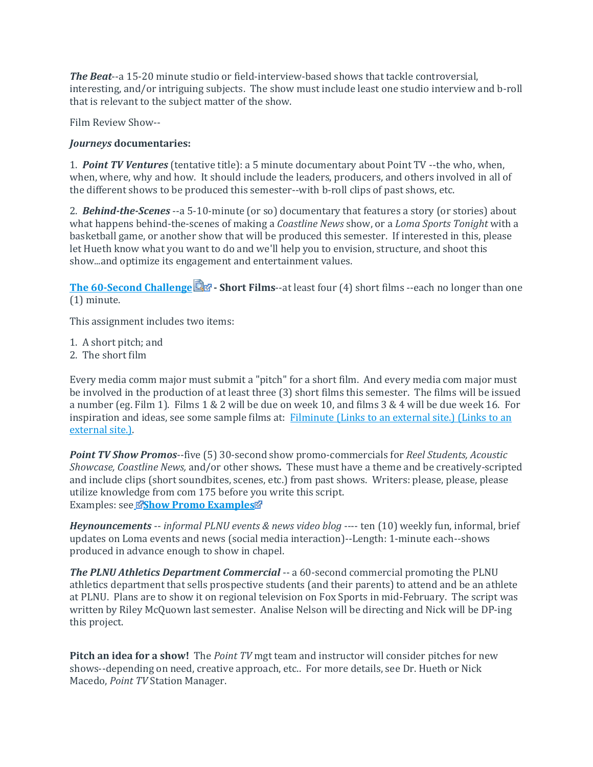*The Beat*--a 15-20 minute studio or field-interview-based shows that tackle controversial, interesting, and/or intriguing subjects. The show must include least one studio interview and b-roll that is relevant to the subject matter of the show.

Film Review Show--

# *Journeys* **documentaries:**

1. *Point TV Ventures* (tentative title): a 5 minute documentary about Point TV --the who, when, when, where, why and how. It should include the leaders, producers, and others involved in all of the different shows to be produced this semester--with b-roll clips of past shows, etc.

2. *Behind-the-Scenes* --a 5-10-minute (or so) documentary that features a story (or stories) about what happens behind-the-scenes of making a *Coastline News* show, or a *Loma Sports Tonight* with a basketball game, or another show that will be produced this semester. If interested in this, please let Hueth know what you want to do and we'll help you to envision, structure, and shoot this show...and optimize its engagement and entertainment values.

**[The 60-Second Challenge](https://canvas.pointloma.edu/courses/31935/files/1128617/download?wrap=1) - Short Films**--at least four (4) short films --each no longer than one (1) minute.

This assignment includes two items:

1. A short pitch; and

2. The short film

Every media comm major must submit a "pitch" for a short film. And every media com major must be involved in the production of at least three (3) short films this semester. The films will be issued a number (eg. Film 1). Films 1 & 2 will be due on week 10, and films 3 & 4 will be due week 16. For inspiration and ideas, see some sample films at: Filminute [\(Links to an external site.\)](http://www.filminute.com/films/2014/tuck-me-in/) (Links to an [external](http://www.filminute.com/films/2014/tuck-me-in/) site.).

*Point TV Show Promos*--five (5) 30-second show promo-commercials for *Reel Students, Acoustic Showcase, Coastline News,* and/or other shows*.* These must have a theme and be creatively-scripted and include clips (short soundbites, scenes, etc.) from past shows. Writers: please, please, please utilize knowledge from com 175 before you write this script. Examples: se[e](https://canvas.pointloma.edu/courses/31935/files/1109502/download?wrap=1) **[Show Promo Examples](https://canvas.pointloma.edu/courses/31935/files/1109499/download?wrap=1)**

*Heynouncements* -- *informal PLNU events & news video blog* ---- ten (10) weekly fun, informal, brief updates on Loma events and news (social media interaction)--Length: 1-minute each--shows produced in advance enough to show in chapel.

*The PLNU Athletics Department Commercial* -- a 60-second commercial promoting the PLNU athletics department that sells prospective students (and their parents) to attend and be an athlete at PLNU. Plans are to show it on regional television on Fox Sports in mid-February. The script was written by Riley McQuown last semester. Analise Nelson will be directing and Nick will be DP-ing this project.

**Pitch an idea for a show!** The *Point TV* mgt team and instructor will consider pitches for new shows--depending on need, creative approach, etc.. For more details, see Dr. Hueth or Nick Macedo, *Point TV* Station Manager.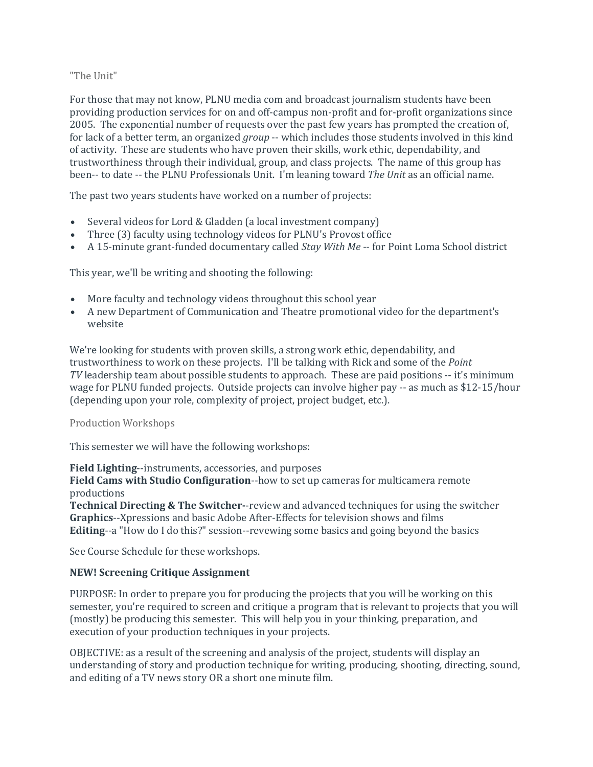## "The Unit"

For those that may not know, PLNU media com and broadcast journalism students have been providing production services for on and off-campus non-profit and for-profit organizations since 2005. The exponential number of requests over the past few years has prompted the creation of, for lack of a better term, an organized *group* -- which includes those students involved in this kind of activity. These are students who have proven their skills, work ethic, dependability, and trustworthiness through their individual, group, and class projects. The name of this group has been-- to date -- the PLNU Professionals Unit. I'm leaning toward *The Unit* as an official name.

The past two years students have worked on a number of projects:

- Several videos for Lord & Gladden (a local investment company)
- Three (3) faculty using technology videos for PLNU's Provost office
- A 15-minute grant-funded documentary called *Stay With Me* -- for Point Loma School district

This year, we'll be writing and shooting the following:

- More faculty and technology videos throughout this school year
- A new Department of Communication and Theatre promotional video for the department's website

We're looking for students with proven skills, a strong work ethic, dependability, and trustworthiness to work on these projects. I'll be talking with Rick and some of the *Point TV* leadership team about possible students to approach. These are paid positions -- it's minimum wage for PLNU funded projects. Outside projects can involve higher pay -- as much as \$12-15/hour (depending upon your role, complexity of project, project budget, etc.).

### Production Workshops

This semester we will have the following workshops:

**Field Lighting**--instruments, accessories, and purposes

**Field Cams with Studio Configuration**--how to set up cameras for multicamera remote productions

**Technical Directing & The Switcher-**-review and advanced techniques for using the switcher **Graphics**--Xpressions and basic Adobe After-Effects for television shows and films **Editing**--a "How do I do this?" session--revewing some basics and going beyond the basics

See Course Schedule for these workshops.

### **NEW! Screening Critique Assignment**

PURPOSE: In order to prepare you for producing the projects that you will be working on this semester, you're required to screen and critique a program that is relevant to projects that you will (mostly) be producing this semester. This will help you in your thinking, preparation, and execution of your production techniques in your projects.

OBJECTIVE: as a result of the screening and analysis of the project, students will display an understanding of story and production technique for writing, producing, shooting, directing, sound, and editing of a TV news story OR a short one minute film.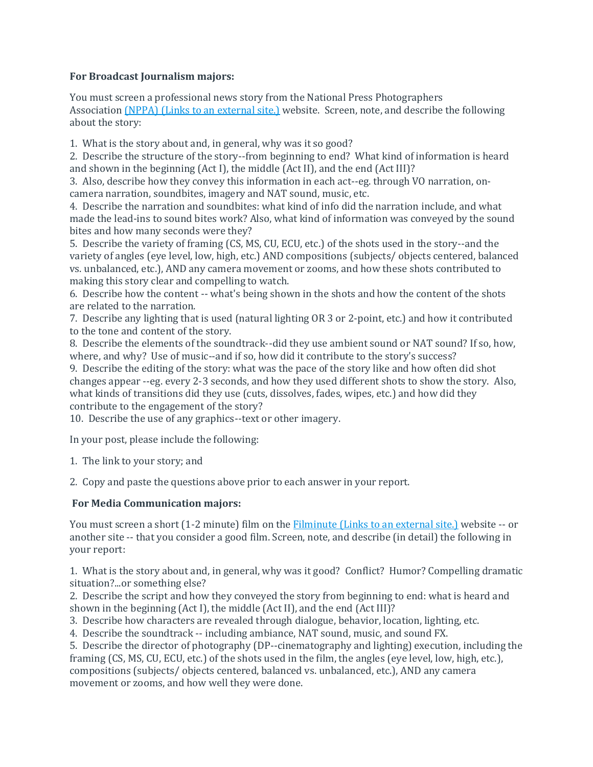# **For Broadcast Journalism majors:**

You must screen a professional news story from the National Press Photographers Association (NPPA) (Links to an [external](http://competitions.nppa.org/best-of-photojournalism/bop-category/tv-news-photography/) site.) website. Screen, note, and describe the following about the story:

1. What is the story about and, in general, why was it so good?

2. Describe the structure of the story--from beginning to end? What kind of information is heard and shown in the beginning (Act I), the middle (Act II), and the end (Act III)?

3. Also, describe how they convey this information in each act--eg. through VO narration, oncamera narration, soundbites, imagery and NAT sound, music, etc.

4. Describe the narration and soundbites: what kind of info did the narration include, and what made the lead-ins to sound bites work? Also, what kind of information was conveyed by the sound bites and how many seconds were they?

5. Describe the variety of framing (CS, MS, CU, ECU, etc.) of the shots used in the story--and the variety of angles (eye level, low, high, etc.) AND compositions (subjects/ objects centered, balanced vs. unbalanced, etc.), AND any camera movement or zooms, and how these shots contributed to making this story clear and compelling to watch.

6. Describe how the content -- what's being shown in the shots and how the content of the shots are related to the narration.

7. Describe any lighting that is used (natural lighting OR 3 or 2-point, etc.) and how it contributed to the tone and content of the story.

8. Describe the elements of the soundtrack--did they use ambient sound or NAT sound? If so, how, where, and why? Use of music--and if so, how did it contribute to the story's success?

9. Describe the editing of the story: what was the pace of the story like and how often did shot changes appear --eg. every 2-3 seconds, and how they used different shots to show the story. Also, what kinds of transitions did they use (cuts, dissolves, fades, wipes, etc.) and how did they contribute to the engagement of the story?

10. Describe the use of any graphics--text or other imagery.

In your post, please include the following:

1. The link to your story; and

2. Copy and paste the questions above prior to each answer in your report.

# **For Media Communication majors:**

You must screen a short (1-2 minute) film on the [Filminute](http://www.filminute.com/films/2016/) (Links to an external site.) website -- or another site -- that you consider a good film. Screen, note, and describe (in detail) the following in your report:

1. What is the story about and, in general, why was it good? Conflict? Humor? Compelling dramatic situation?...or something else?

2. Describe the script and how they conveyed the story from beginning to end: what is heard and shown in the beginning (Act I), the middle (Act II), and the end (Act III)?

3. Describe how characters are revealed through dialogue, behavior, location, lighting, etc.

4. Describe the soundtrack -- including ambiance, NAT sound, music, and sound FX.

5. Describe the director of photography (DP--cinematography and lighting) execution, including the framing (CS, MS, CU, ECU, etc.) of the shots used in the film, the angles (eye level, low, high, etc.), compositions (subjects/ objects centered, balanced vs. unbalanced, etc.), AND any camera movement or zooms, and how well they were done.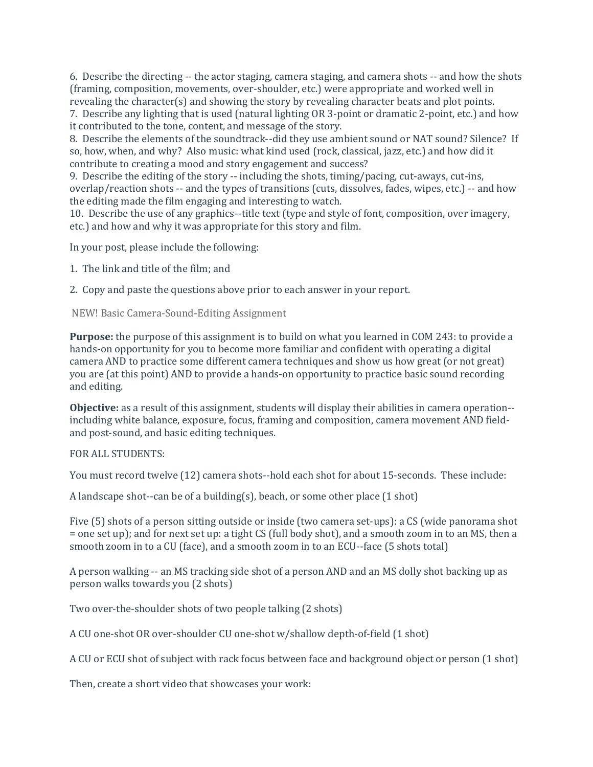6. Describe the directing -- the actor staging, camera staging, and camera shots -- and how the shots (framing, composition, movements, over-shoulder, etc.) were appropriate and worked well in revealing the character(s) and showing the story by revealing character beats and plot points. 7. Describe any lighting that is used (natural lighting OR 3-point or dramatic 2-point, etc.) and how

it contributed to the tone, content, and message of the story.

8. Describe the elements of the soundtrack--did they use ambient sound or NAT sound? Silence? If so, how, when, and why? Also music: what kind used (rock, classical, jazz, etc.) and how did it contribute to creating a mood and story engagement and success?

9. Describe the editing of the story -- including the shots, timing/pacing, cut-aways, cut-ins, overlap/reaction shots -- and the types of transitions (cuts, dissolves, fades, wipes, etc.) -- and how the editing made the film engaging and interesting to watch.

10. Describe the use of any graphics--title text (type and style of font, composition, over imagery, etc.) and how and why it was appropriate for this story and film.

In your post, please include the following:

1. The link and title of the film; and

2. Copy and paste the questions above prior to each answer in your report.

NEW! Basic Camera-Sound-Editing Assignment

**Purpose:** the purpose of this assignment is to build on what you learned in COM 243: to provide a hands-on opportunity for you to become more familiar and confident with operating a digital camera AND to practice some different camera techniques and show us how great (or not great) you are (at this point) AND to provide a hands-on opportunity to practice basic sound recording and editing.

**Objective:** as a result of this assignment, students will display their abilities in camera operation- including white balance, exposure, focus, framing and composition, camera movement AND fieldand post-sound, and basic editing techniques.

FOR ALL STUDENTS:

You must record twelve (12) camera shots--hold each shot for about 15-seconds. These include:

A landscape shot--can be of a building(s), beach, or some other place  $(1 \text{ shot})$ 

Five (5) shots of a person sitting outside or inside (two camera set-ups): a CS (wide panorama shot = one set up); and for next set up: a tight CS (full body shot), and a smooth zoom in to an MS, then a smooth zoom in to a CU (face), and a smooth zoom in to an ECU--face (5 shots total)

A person walking -- an MS tracking side shot of a person AND and an MS dolly shot backing up as person walks towards you (2 shots)

Two over-the-shoulder shots of two people talking (2 shots)

A CU one-shot OR over-shoulder CU one-shot w/shallow depth-of-field (1 shot)

A CU or ECU shot of subject with rack focus between face and background object or person (1 shot)

Then, create a short video that showcases your work: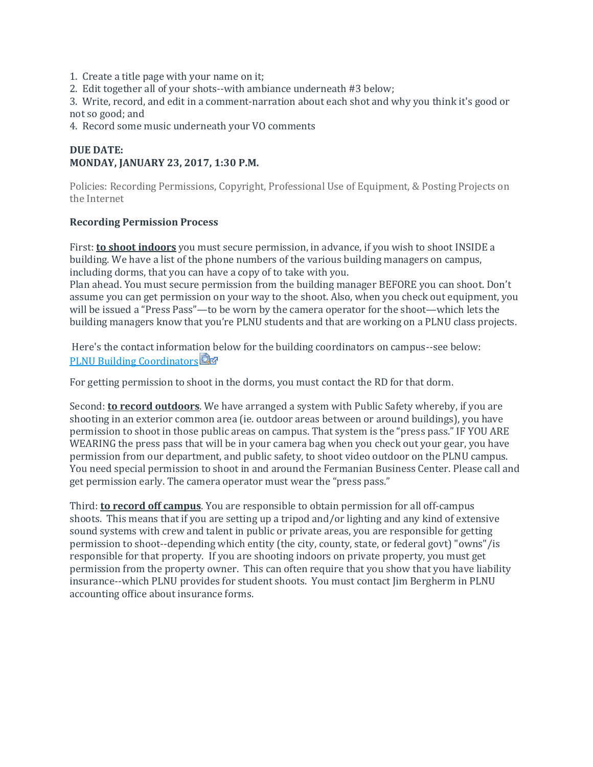- 1. Create a title page with your name on it;
- 2. Edit together all of your shots--with ambiance underneath #3 below;

3. Write, record, and edit in a comment-narration about each shot and why you think it's good or not so good; and

4. Record some music underneath your VO comments

# **DUE DATE: MONDAY, JANUARY 23, 2017, 1:30 P.M.**

Policies: Recording Permissions, Copyright, Professional Use of Equipment, & Posting Projects on the Internet

### **Recording Permission Process**

First: **to shoot indoors** you must secure permission, in advance, if you wish to shoot INSIDE a building. We have a list of the phone numbers of the various building managers on campus, including dorms, that you can have a copy of to take with you.

Plan ahead. You must secure permission from the building manager BEFORE you can shoot. Don't assume you can get permission on your way to the shoot. Also, when you check out equipment, you will be issued a "Press Pass"—to be worn by the camera operator for the shoot—which lets the building managers know that you're PLNU students and that are working on a PLNU class projects.

Here's the contact information below for the building coordinators on campus--see below: [PLNU Building Coordinators](https://canvas.pointloma.edu/courses/31935/files/1109505/download?wrap=1)

For getting permission to shoot in the dorms, you must contact the RD for that dorm.

Second: **to record outdoors**. We have arranged a system with Public Safety whereby, if you are shooting in an exterior common area (ie. outdoor areas between or around buildings), you have permission to shoot in those public areas on campus. That system is the "press pass." IF YOU ARE WEARING the press pass that will be in your camera bag when you check out your gear, you have permission from our department, and public safety, to shoot video outdoor on the PLNU campus. You need special permission to shoot in and around the Fermanian Business Center. Please call and get permission early. The camera operator must wear the "press pass."

Third: **to record off campus**. You are responsible to obtain permission for all off-campus shoots. This means that if you are setting up a tripod and/or lighting and any kind of extensive sound systems with crew and talent in public or private areas, you are responsible for getting permission to shoot--depending which entity (the city, county, state, or federal govt) "owns"/is responsible for that property. If you are shooting indoors on private property, you must get permission from the property owner. This can often require that you show that you have liability insurance--which PLNU provides for student shoots. You must contact Jim Bergherm in PLNU accounting office about insurance forms.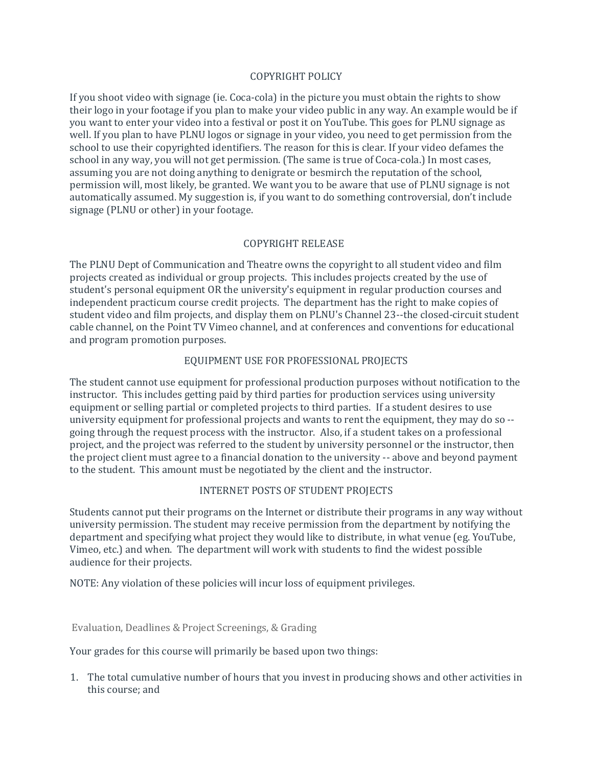### COPYRIGHT POLICY

If you shoot video with signage (ie. Coca-cola) in the picture you must obtain the rights to show their logo in your footage if you plan to make your video public in any way. An example would be if you want to enter your video into a festival or post it on YouTube. This goes for PLNU signage as well. If you plan to have PLNU logos or signage in your video, you need to get permission from the school to use their copyrighted identifiers. The reason for this is clear. If your video defames the school in any way, you will not get permission. (The same is true of Coca-cola.) In most cases, assuming you are not doing anything to denigrate or besmirch the reputation of the school, permission will, most likely, be granted. We want you to be aware that use of PLNU signage is not automatically assumed. My suggestion is, if you want to do something controversial, don't include signage (PLNU or other) in your footage.

## COPYRIGHT RELEASE

The PLNU Dept of Communication and Theatre owns the copyright to all student video and film projects created as individual or group projects. This includes projects created by the use of student's personal equipment OR the university's equipment in regular production courses and independent practicum course credit projects. The department has the right to make copies of student video and film projects, and display them on PLNU's Channel 23--the closed-circuit student cable channel, on the Point TV Vimeo channel, and at conferences and conventions for educational and program promotion purposes.

## EQUIPMENT USE FOR PROFESSIONAL PROJECTS

The student cannot use equipment for professional production purposes without notification to the instructor. This includes getting paid by third parties for production services using university equipment or selling partial or completed projects to third parties. If a student desires to use university equipment for professional projects and wants to rent the equipment, they may do so - going through the request process with the instructor. Also, if a student takes on a professional project, and the project was referred to the student by university personnel or the instructor, then the project client must agree to a financial donation to the university -- above and beyond payment to the student. This amount must be negotiated by the client and the instructor.

### INTERNET POSTS OF STUDENT PROJECTS

Students cannot put their programs on the Internet or distribute their programs in any way without university permission. The student may receive permission from the department by notifying the department and specifying what project they would like to distribute, in what venue (eg. YouTube, Vimeo, etc.) and when. The department will work with students to find the widest possible audience for their projects.

NOTE: Any violation of these policies will incur loss of equipment privileges.

Evaluation, Deadlines & Project Screenings, & Grading

Your grades for this course will primarily be based upon two things:

1. The total cumulative number of hours that you invest in producing shows and other activities in this course; and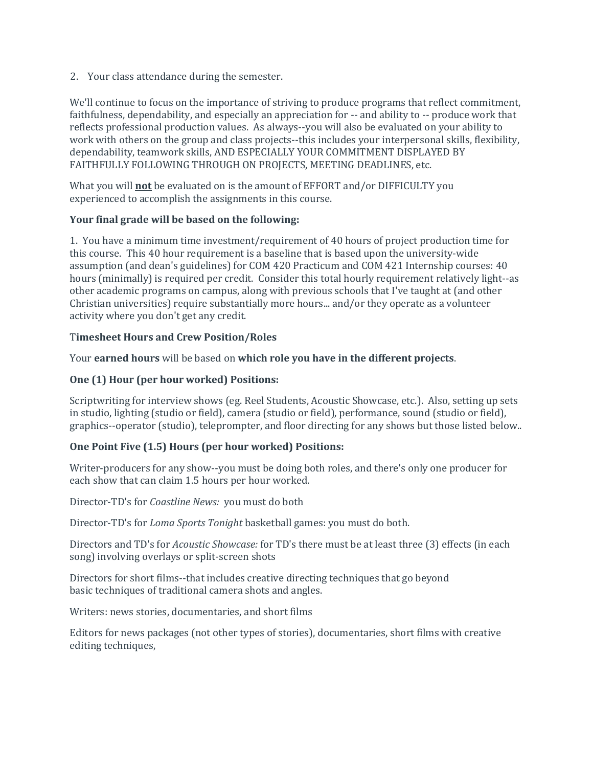2. Your class attendance during the semester.

We'll continue to focus on the importance of striving to produce programs that reflect commitment, faithfulness, dependability, and especially an appreciation for -- and ability to -- produce work that reflects professional production values. As always--you will also be evaluated on your ability to work with others on the group and class projects--this includes your interpersonal skills, flexibility, dependability, teamwork skills, AND ESPECIALLY YOUR COMMITMENT DISPLAYED BY FAITHFULLY FOLLOWING THROUGH ON PROJECTS, MEETING DEADLINES, etc.

What you will **not** be evaluated on is the amount of EFFORT and/or DIFFICULTY you experienced to accomplish the assignments in this course.

## **Your final grade will be based on the following:**

1. You have a minimum time investment/requirement of 40 hours of project production time for this course. This 40 hour requirement is a baseline that is based upon the university-wide assumption (and dean's guidelines) for COM 420 Practicum and COM 421 Internship courses: 40 hours (minimally) is required per credit. Consider this total hourly requirement relatively light--as other academic programs on campus, along with previous schools that I've taught at (and other Christian universities) require substantially more hours... and/or they operate as a volunteer activity where you don't get any credit.

## T**imesheet Hours and Crew Position/Roles**

Your **earned hours** will be based on **which role you have in the different projects**.

# **One (1) Hour (per hour worked) Positions:**

Scriptwriting for interview shows (eg. Reel Students, Acoustic Showcase, etc.). Also, setting up sets in studio, lighting (studio or field), camera (studio or field), performance, sound (studio or field), graphics--operator (studio), teleprompter, and floor directing for any shows but those listed below..

# **One Point Five (1.5) Hours (per hour worked) Positions:**

Writer-producers for any show--you must be doing both roles, and there's only one producer for each show that can claim 1.5 hours per hour worked.

Director-TD's for *Coastline News:* you must do both

Director-TD's for *Loma Sports Tonight* basketball games: you must do both.

Directors and TD's for *Acoustic Showcase:* for TD's there must be at least three (3) effects (in each song) involving overlays or split-screen shots

Directors for short films--that includes creative directing techniques that go beyond basic techniques of traditional camera shots and angles.

Writers: news stories, documentaries, and short films

Editors for news packages (not other types of stories), documentaries, short films with creative editing techniques,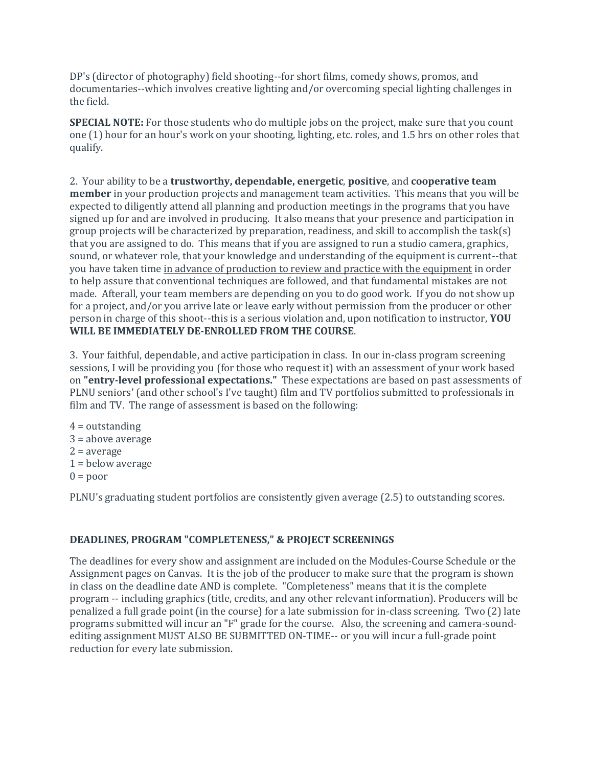DP's (director of photography) field shooting--for short films, comedy shows, promos, and documentaries--which involves creative lighting and/or overcoming special lighting challenges in the field.

**SPECIAL NOTE:** For those students who do multiple jobs on the project, make sure that you count one (1) hour for an hour's work on your shooting, lighting, etc. roles, and 1.5 hrs on other roles that qualify.

2. Your ability to be a **trustworthy, dependable, energetic**, **positive**, and **cooperative team member** in your production projects and management team activities. This means that you will be expected to diligently attend all planning and production meetings in the programs that you have signed up for and are involved in producing. It also means that your presence and participation in group projects will be characterized by preparation, readiness, and skill to accomplish the task(s) that you are assigned to do. This means that if you are assigned to run a studio camera, graphics, sound, or whatever role, that your knowledge and understanding of the equipment is current--that you have taken time in advance of production to review and practice with the equipment in order to help assure that conventional techniques are followed, and that fundamental mistakes are not made. Afterall, your team members are depending on you to do good work. If you do not show up for a project, and/or you arrive late or leave early without permission from the producer or other person in charge of this shoot--this is a serious violation and, upon notification to instructor, **YOU WILL BE IMMEDIATELY DE-ENROLLED FROM THE COURSE**.

3. Your faithful, dependable, and active participation in class. In our in-class program screening sessions, I will be providing you (for those who request it) with an assessment of your work based on **"entry-level professional expectations."** These expectations are based on past assessments of PLNU seniors' (and other school's I've taught) film and TV portfolios submitted to professionals in film and TV. The range of assessment is based on the following:

 $4 =$  outstanding 3 = above average  $2 = average$  $1 =$  below average  $0 = poor$ 

PLNU's graduating student portfolios are consistently given average (2.5) to outstanding scores.

# **DEADLINES, PROGRAM "COMPLETENESS," & PROJECT SCREENINGS**

The deadlines for every show and assignment are included on the Modules-Course Schedule or the Assignment pages on Canvas. It is the job of the producer to make sure that the program is shown in class on the deadline date AND is complete. "Completeness" means that it is the complete program -- including graphics (title, credits, and any other relevant information). Producers will be penalized a full grade point (in the course) for a late submission for in-class screening. Two (2) late programs submitted will incur an "F" grade for the course. Also, the screening and camera-soundediting assignment MUST ALSO BE SUBMITTED ON-TIME-- or you will incur a full-grade point reduction for every late submission.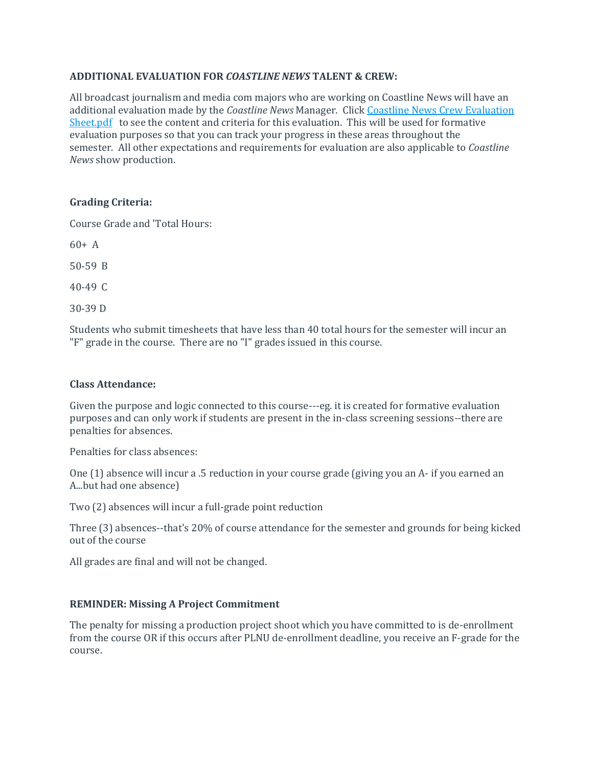## **ADDITIONAL EVALUATION FOR** *COASTLINE NEWS* **TALENT & CREW:**

All broadcast journalism and media com majors who are working on Coastline News will have an additional evaluation made by the *Coastline News* Manager. Click [Coastline News Crew Evaluation](https://canvas.pointloma.edu/courses/31935/files/1109492/preview)  [Sheet.pdf](https://canvas.pointloma.edu/courses/31935/files/1109492/preview) to see the content and criteria for this evaluation. This will be used for formative evaluation purposes so that you can track your progress in these areas throughout the semester. All other expectations and requirements for evaluation are also applicable to *Coastline News* show production.

# **Grading Criteria:**

Course Grade and 'Total Hours:

60+ A

50-59 B

40-49 C

30-39 D

Students who submit timesheets that have less than 40 total hours for the semester will incur an "F" grade in the course. There are no "I" grades issued in this course.

## **Class Attendance:**

Given the purpose and logic connected to this course---eg. it is created for formative evaluation purposes and can only work if students are present in the in-class screening sessions--there are penalties for absences.

Penalties for class absences:

One (1) absence will incur a .5 reduction in your course grade (giving you an A- if you earned an A...but had one absence)

Two (2) absences will incur a full-grade point reduction

Three (3) absences--that's 20% of course attendance for the semester and grounds for being kicked out of the course

All grades are final and will not be changed.

# **REMINDER: Missing A Project Commitment**

The penalty for missing a production project shoot which you have committed to is de-enrollment from the course OR if this occurs after PLNU de-enrollment deadline, you receive an F-grade for the course.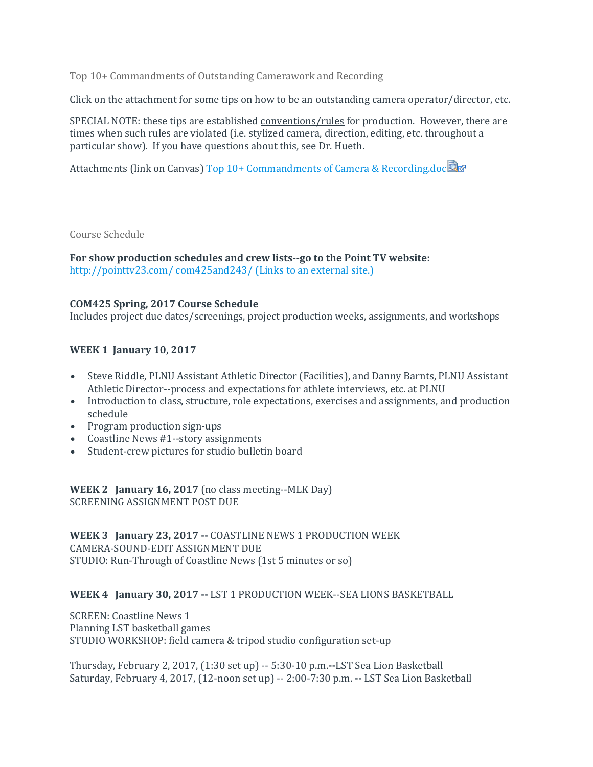Top 10+ Commandments of Outstanding Camerawork and Recording

Click on the attachment for some tips on how to be an outstanding camera operator/director, etc.

SPECIAL NOTE: these tips are established *conventions/rules* for production. However, there are times when such rules are violated (i.e. stylized camera, direction, editing, etc. throughout a particular show). If you have questions about this, see Dr. Hueth.

Attachments (link on Canvas) [Top 10+ Commandments of Camera & Recording.doc](https://canvas.pointloma.edu/courses/31935/files/1109495/download?wrap=1)

Course Schedule

**For show production schedules and crew lists--go to the Point TV website:** [http://pointtv23.com/ com425and243/](http://pointtv23.com/com425and243/) (Links to an external site.)

# **COM425 Spring, 2017 Course Schedule**

Includes project due dates/screenings, project production weeks, assignments, and workshops

# **WEEK 1 January 10, 2017**

- Steve Riddle, PLNU Assistant Athletic Director (Facilities), and Danny Barnts, PLNU Assistant Athletic Director--process and expectations for athlete interviews, etc. at PLNU
- Introduction to class, structure, role expectations, exercises and assignments, and production schedule
- Program production sign-ups
- Coastline News #1--story assignments
- Student-crew pictures for studio bulletin board

**WEEK 2 January 16, 2017** (no class meeting--MLK Day) SCREENING ASSIGNMENT POST DUE

**WEEK 3 January 23, 2017 --** COASTLINE NEWS 1 PRODUCTION WEEK CAMERA-SOUND-EDIT ASSIGNMENT DUE STUDIO: Run-Through of Coastline News (1st 5 minutes or so)

# **WEEK 4 January 30, 2017 --** LST 1 PRODUCTION WEEK--SEA LIONS BASKETBALL

SCREEN: Coastline News 1 Planning LST basketball games STUDIO WORKSHOP: field camera & tripod studio configuration set-up

Thursday, February 2, 2017, (1:30 set up) -- 5:30-10 p.m.**--**LST Sea Lion Basketball Saturday, February 4, 2017, (12-noon set up) -- 2:00-7:30 p.m. **--** LST Sea Lion Basketball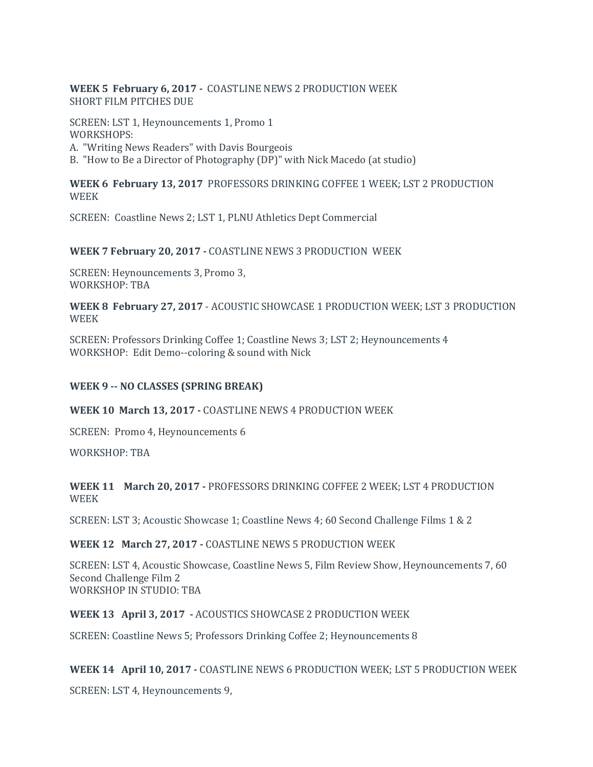## **WEEK 5 February 6, 2017 -** COASTLINE NEWS 2 PRODUCTION WEEK SHORT FILM PITCHES DUE

SCREEN: LST 1, Heynouncements 1, Promo 1 WORKSHOPS: A. "Writing News Readers" with Davis Bourgeois B. "How to Be a Director of Photography (DP)" with Nick Macedo (at studio)

**WEEK 6 February 13, 2017** PROFESSORS DRINKING COFFEE 1 WEEK; LST 2 PRODUCTION

WEEK

SCREEN: Coastline News 2; LST 1, PLNU Athletics Dept Commercial

# **WEEK 7 February 20, 2017 -** COASTLINE NEWS 3 PRODUCTION WEEK

SCREEN: Heynouncements 3, Promo 3, WORKSHOP: TBA

## **WEEK 8 February 27, 2017** - ACOUSTIC SHOWCASE 1 PRODUCTION WEEK; LST 3 PRODUCTION WEEK

SCREEN: Professors Drinking Coffee 1; Coastline News 3; LST 2; Heynouncements 4 WORKSHOP: Edit Demo--coloring & sound with Nick

# **WEEK 9 -- NO CLASSES (SPRING BREAK)**

# **WEEK 10 March 13, 2017 -** COASTLINE NEWS 4 PRODUCTION WEEK

SCREEN: Promo 4, Heynouncements 6

WORKSHOP: TBA

# **WEEK 11 March 20, 2017 -** PROFESSORS DRINKING COFFEE 2 WEEK; LST 4 PRODUCTION WEEK

SCREEN: LST 3; Acoustic Showcase 1; Coastline News 4; 60 Second Challenge Films 1 & 2

# **WEEK 12 March 27, 2017 -** COASTLINE NEWS 5 PRODUCTION WEEK

SCREEN: LST 4, Acoustic Showcase, Coastline News 5, Film Review Show, Heynouncements 7, 60 Second Challenge Film 2 WORKSHOP IN STUDIO: TBA

# **WEEK 13 April 3, 2017 -** ACOUSTICS SHOWCASE 2 PRODUCTION WEEK

SCREEN: Coastline News 5; Professors Drinking Coffee 2; Heynouncements 8

# **WEEK 14 April 10, 2017 -** COASTLINE NEWS 6 PRODUCTION WEEK; LST 5 PRODUCTION WEEK

SCREEN: LST 4, Heynouncements 9,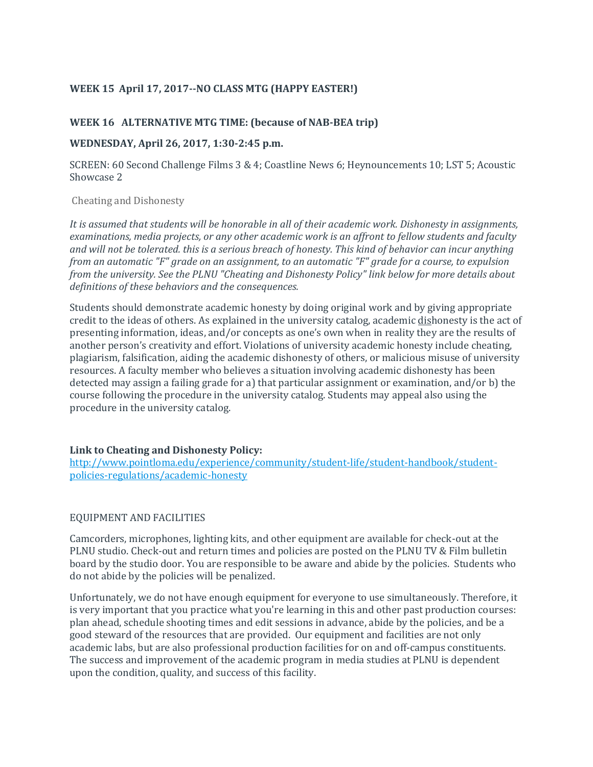# **WEEK 15 April 17, 2017--NO CLASS MTG (HAPPY EASTER!)**

## **WEEK 16 ALTERNATIVE MTG TIME: (because of NAB-BEA trip)**

#### **WEDNESDAY, April 26, 2017, 1:30-2:45 p.m.**

SCREEN: 60 Second Challenge Films 3 & 4; Coastline News 6; Heynouncements 10; LST 5; Acoustic Showcase 2

#### Cheating and Dishonesty

*It is assumed that students will be honorable in all of their academic work. Dishonesty in assignments, examinations, media projects, or any other academic work is an affront to fellow students and faculty and will not be tolerated. this is a serious breach of honesty. This kind of behavior can incur anything from an automatic "F" grade on an assignment, to an automatic "F" grade for a course, to expulsion from the university. See the PLNU "Cheating and Dishonesty Policy" link below for more details about definitions of these behaviors and the consequences.*

Students should demonstrate academic honesty by doing original work and by giving appropriate credit to the ideas of others. As explained in the university catalog, academic dishonesty is the act of presenting information, ideas, and/or concepts as one's own when in reality they are the results of another person's creativity and effort. Violations of university academic honesty include cheating, plagiarism, falsification, aiding the academic dishonesty of others, or malicious misuse of university resources. A faculty member who believes a situation involving academic dishonesty has been detected may assign a failing grade for a) that particular assignment or examination, and/or b) the course following the procedure in the university catalog. Students may appeal also using the procedure in the university catalog.

### **Link to Cheating and Dishonesty Policy:**

[http://www.pointloma.edu/experience/community/student-life/student-handbook/student](http://www.pointloma.edu/experience/community/student-life/student-handbook/student-policies-regulations/academic-honesty)[policies-regulations/academic-honesty](http://www.pointloma.edu/experience/community/student-life/student-handbook/student-policies-regulations/academic-honesty)

### EQUIPMENT AND FACILITIES

Camcorders, microphones, lighting kits, and other equipment are available for check-out at the PLNU studio. Check-out and return times and policies are posted on the PLNU TV & Film bulletin board by the studio door. You are responsible to be aware and abide by the policies. Students who do not abide by the policies will be penalized.

Unfortunately, we do not have enough equipment for everyone to use simultaneously. Therefore, it is very important that you practice what you're learning in this and other past production courses: plan ahead, schedule shooting times and edit sessions in advance, abide by the policies, and be a good steward of the resources that are provided. Our equipment and facilities are not only academic labs, but are also professional production facilities for on and off-campus constituents. The success and improvement of the academic program in media studies at PLNU is dependent upon the condition, quality, and success of this facility.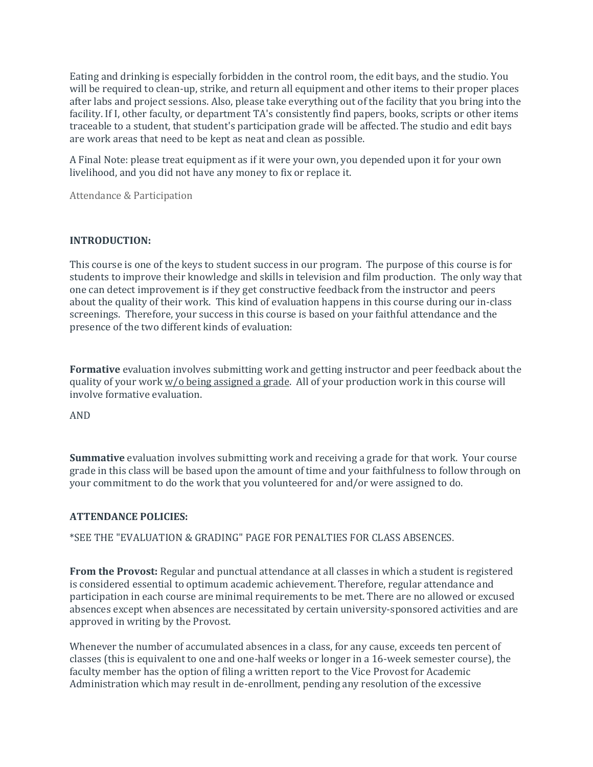Eating and drinking is especially forbidden in the control room, the edit bays, and the studio. You will be required to clean-up, strike, and return all equipment and other items to their proper places after labs and project sessions. Also, please take everything out of the facility that you bring into the facility. If I, other faculty, or department TA's consistently find papers, books, scripts or other items traceable to a student, that student's participation grade will be affected. The studio and edit bays are work areas that need to be kept as neat and clean as possible.

A Final Note: please treat equipment as if it were your own, you depended upon it for your own livelihood, and you did not have any money to fix or replace it.

Attendance & Participation

### **INTRODUCTION:**

This course is one of the keys to student success in our program. The purpose of this course is for students to improve their knowledge and skills in television and film production. The only way that one can detect improvement is if they get constructive feedback from the instructor and peers about the quality of their work. This kind of evaluation happens in this course during our in-class screenings. Therefore, your success in this course is based on your faithful attendance and the presence of the two different kinds of evaluation:

**Formative** evaluation involves submitting work and getting instructor and peer feedback about the quality of your work w/o being assigned a grade. All of your production work in this course will involve formative evaluation.

AND

**Summative** evaluation involves submitting work and receiving a grade for that work. Your course grade in this class will be based upon the amount of time and your faithfulness to follow through on your commitment to do the work that you volunteered for and/or were assigned to do.

### **ATTENDANCE POLICIES:**

\*SEE THE "EVALUATION & GRADING" PAGE FOR PENALTIES FOR CLASS ABSENCES.

**From the Provost:** Regular and punctual attendance at all classes in which a student is registered is considered essential to optimum academic achievement. Therefore, regular attendance and participation in each course are minimal requirements to be met. There are no allowed or excused absences except when absences are necessitated by certain university-sponsored activities and are approved in writing by the Provost.

Whenever the number of accumulated absences in a class, for any cause, exceeds ten percent of classes (this is equivalent to one and one-half weeks or longer in a 16-week semester course), the faculty member has the option of filing a written report to the Vice Provost for Academic Administration which may result in de-enrollment, pending any resolution of the excessive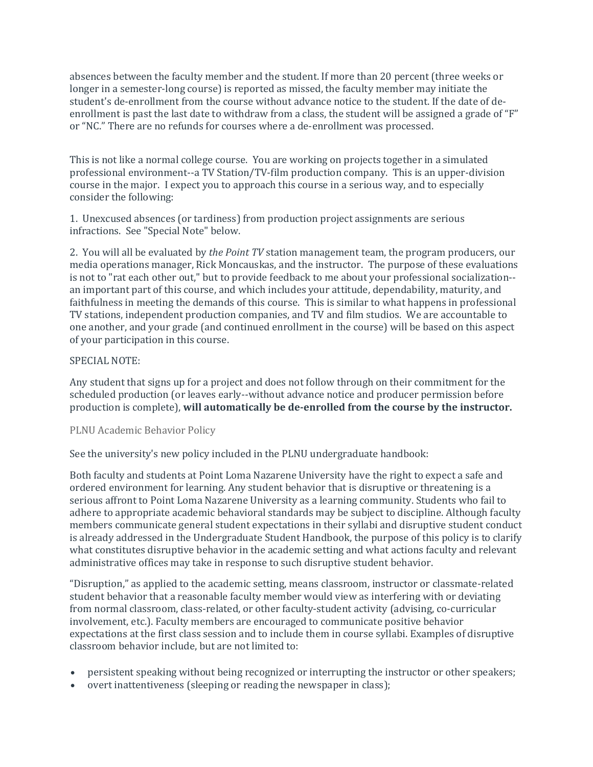absences between the faculty member and the student. If more than 20 percent (three weeks or longer in a semester-long course) is reported as missed, the faculty member may initiate the student's de-enrollment from the course without advance notice to the student. If the date of deenrollment is past the last date to withdraw from a class, the student will be assigned a grade of "F" or "NC." There are no refunds for courses where a de-enrollment was processed.

This is not like a normal college course. You are working on projects together in a simulated professional environment--a TV Station/TV-film production company. This is an upper-division course in the major. I expect you to approach this course in a serious way, and to especially consider the following:

1. Unexcused absences (or tardiness) from production project assignments are serious infractions. See "Special Note" below.

2. You will all be evaluated by *the Point TV* station management team, the program producers, our media operations manager, Rick Moncauskas, and the instructor. The purpose of these evaluations is not to "rat each other out," but to provide feedback to me about your professional socialization- an important part of this course, and which includes your attitude, dependability, maturity, and faithfulness in meeting the demands of this course. This is similar to what happens in professional TV stations, independent production companies, and TV and film studios. We are accountable to one another, and your grade (and continued enrollment in the course) will be based on this aspect of your participation in this course.

### SPECIAL NOTE:

Any student that signs up for a project and does not follow through on their commitment for the scheduled production (or leaves early--without advance notice and producer permission before production is complete), **will automatically be de-enrolled from the course by the instructor.**

### PLNU Academic Behavior Policy

See the university's new policy included in the PLNU undergraduate handbook:

Both faculty and students at Point Loma Nazarene University have the right to expect a safe and ordered environment for learning. Any student behavior that is disruptive or threatening is a serious affront to Point Loma Nazarene University as a learning community. Students who fail to adhere to appropriate academic behavioral standards may be subject to discipline. Although faculty members communicate general student expectations in their syllabi and disruptive student conduct is already addressed in the Undergraduate Student Handbook, the purpose of this policy is to clarify what constitutes disruptive behavior in the academic setting and what actions faculty and relevant administrative offices may take in response to such disruptive student behavior.

"Disruption," as applied to the academic setting, means classroom, instructor or classmate-related student behavior that a reasonable faculty member would view as interfering with or deviating from normal classroom, class-related, or other faculty-student activity (advising, co-curricular involvement, etc.). Faculty members are encouraged to communicate positive behavior expectations at the first class session and to include them in course syllabi. Examples of disruptive classroom behavior include, but are not limited to:

- persistent speaking without being recognized or interrupting the instructor or other speakers;
- overt inattentiveness (sleeping or reading the newspaper in class);